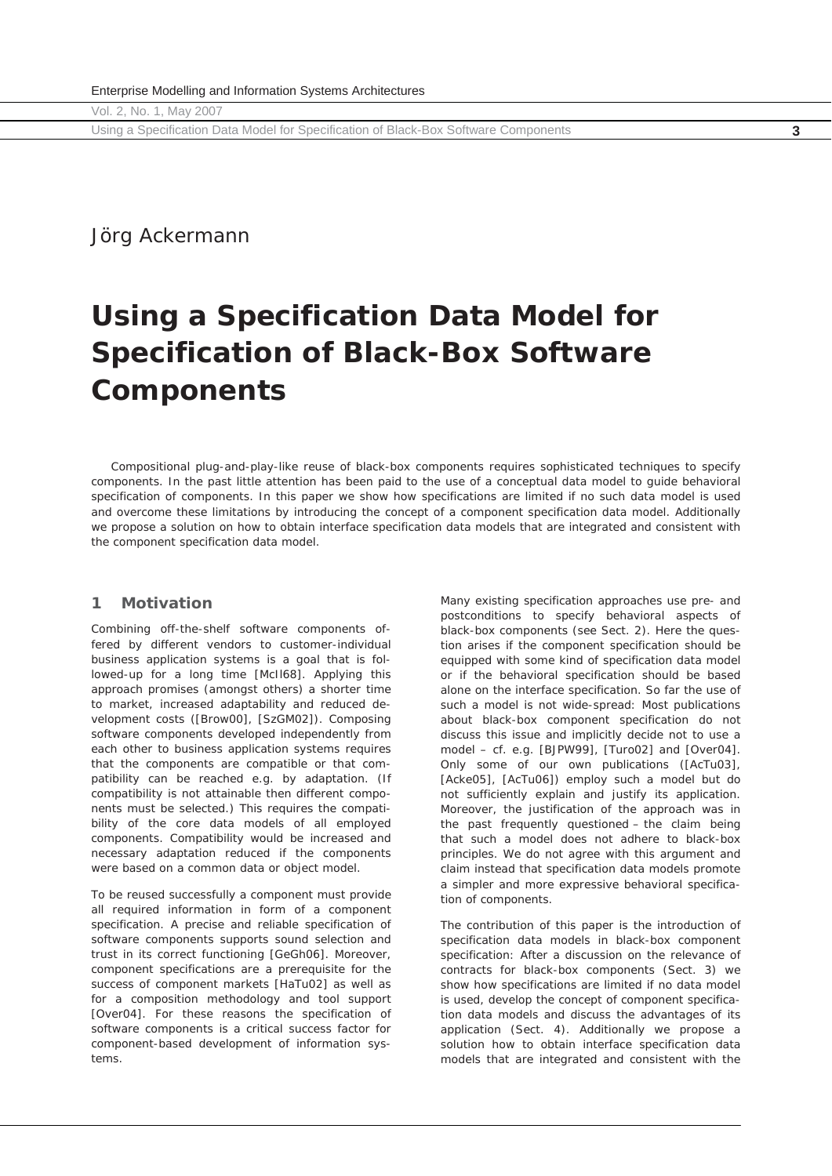Using a Specification Data Model for Specification of Black-Box Software Components **3**

# Jörg Ackermann

# **Using a Specification Data Model for Specification of Black-Box Software Components**

*Compositional plug-and-play-like reuse of black-box components requires sophisticated techniques to specify*  components. In the past little attention has been paid to the use of a conceptual data model to guide behavioral specification of components. In this paper we show how specifications are limited if no such data model is used *and overcome these limitations by introducing the concept of a component specification data model. Additionally we propose a solution on how to obtain interface specification data models that are integrated and consistent with the component specification data model.* 

## **1 Motivation**

Combining off-the-shelf software components offered by different vendors to customer-individual business application systems is a goal that is followed-up for a long time [McIl68]. Applying this approach promises (amongst others) a shorter time to market, increased adaptability and reduced development costs ([Brow00], [SzGM02]). Composing software components developed independently from each other to business application systems requires that the components are compatible or that compatibility can be reached e.g. by adaptation. (If compatibility is not attainable then different components must be selected.) This requires the compatibility of the core data models of all employed components. Compatibility would be increased and necessary adaptation reduced if the components were based on a common data or object model.

To be reused successfully a component must provide all required information in form of a component specification. A precise and reliable specification of software components supports sound selection and trust in its correct functioning [GeGh06]. Moreover, component specifications are a prerequisite for the success of component markets [HaTu02] as well as for a composition methodology and tool support [Over04]. For these reasons the specification of software components is a critical success factor for component-based development of information systems.

Many existing specification approaches use pre- and postconditions to specify behavioral aspects of black-box components (see Sect. 2). Here the question arises if the component specification should be equipped with some kind of specification data model or if the behavioral specification should be based alone on the interface specification. So far the use of such a model is not wide-spread: Most publications about black-box component specification do not discuss this issue and implicitly decide not to use a model – cf. e.g. [BJPW99], [Turo02] and [Over04]. Only some of our own publications ([AcTu03], [Acke05], [AcTu06]) employ such a model but do not sufficiently explain and justify its application. Moreover, the justification of the approach was in the past frequently questioned – the claim being that such a model does not adhere to black-box principles. We do not agree with this argument and claim instead that specification data models promote a simpler and more expressive behavioral specification of components.

The contribution of this paper is the introduction of specification data models in black-box component specification: After a discussion on the relevance of contracts for black-box components (Sect. 3) we show how specifications are limited if no data model is used, develop the concept of component specification data models and discuss the advantages of its application (Sect. 4). Additionally we propose a solution how to obtain interface specification data models that are integrated and consistent with the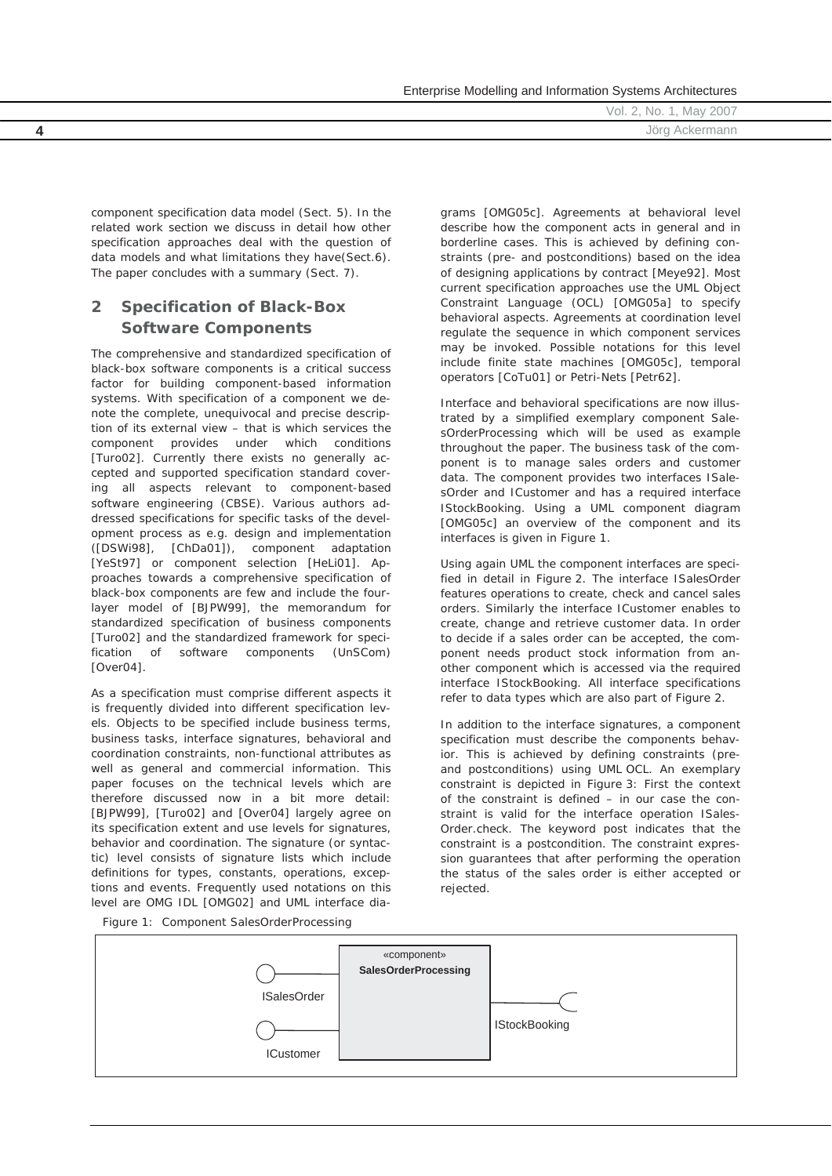|  |  | Enterprise Modelling and Information Systems Architectures |
|--|--|------------------------------------------------------------|
|  |  |                                                            |

Vol. 2, No. 1, May 2007 **4** Jörg Ackermann

component specification data model (Sect. 5). In the related work section we discuss in detail how other specification approaches deal with the question of data models and what limitations they have(Sect.6). The paper concludes with a summary (Sect. 7).

# **2 Specification of Black-Box Software Components**

The comprehensive and standardized specification of black-box software components is a critical success factor for building component-based information systems. With *specification* of a component we denote the complete, unequivocal and precise description of its external view – that is which services the component provides under which conditions [Turo02]. Currently there exists no generally accepted and supported specification standard covering all aspects relevant to component-based software engineering (CBSE). Various authors addressed specifications for specific tasks of the development process as e.g. design and implementation ([DSWi98], [ChDa01]), component adaptation [YeSt97] or component selection [HeLi01]. Approaches towards a comprehensive specification of black-box components are few and include the fourlayer model of [BJPW99], the memorandum for standardized specification of business components [Turo02] and the standardized framework for specification of software components (UnSCom) [Over04].

As a specification must comprise different aspects it is frequently divided into different specification levels. Objects to be specified include business terms, business tasks, interface signatures, behavioral and coordination constraints, non-functional attributes as well as general and commercial information. This paper focuses on the technical levels which are therefore discussed now in a bit more detail: [BJPW99], [Turo02] and [Over04] largely agree on its specification extent and use levels for signatures, behavior and coordination. The signature (or syntactic) level consists of signature lists which include definitions for types, constants, operations, exceptions and events. Frequently used notations on this level are OMG IDL [OMG02] and UML interface diagrams [OMG05c]. Agreements at behavioral level describe how the component acts in general and in borderline cases. This is achieved by defining constraints (pre- and postconditions) based on the idea of designing applications by contract [Meye92]. Most current specification approaches use the *UML Object Constraint Language* (OCL) [OMG05a] to specify behavioral aspects. Agreements at coordination level regulate the sequence in which component services may be invoked. Possible notations for this level include finite state machines [OMG05c], temporal operators [CoTu01] or Petri-Nets [Petr62].

Interface and behavioral specifications are now illustrated by a simplified exemplary component *SalesOrderProcessing* which will be used as example throughout the paper. The business task of the component is to manage sales orders and customer data. The component provides two interfaces *ISalesOrder* and *ICustomer* and has a required interface *IStockBooking*. Using a UML component diagram [OMG05c] an overview of the component and its interfaces is given in Figure 1.

Using again UML the component interfaces are specified in detail in Figure 2. The interface *ISalesOrder* features operations to create, check and cancel sales orders. Similarly the interface *ICustomer* enables to create, change and retrieve customer data. In order to decide if a sales order can be accepted, the component needs product stock information from another component which is accessed via the required interface *IStockBooking*. All interface specifications refer to data types which are also part of Figure 2.

In addition to the interface signatures, a component specification must describe the components behavior. This is achieved by defining constraints (preand postconditions) using UML OCL. An exemplary constraint is depicted in Figure 3: First the context of the constraint is defined – in our case the constraint is valid for the interface operation *ISales-Order.check*. The keyword *post* indicates that the constraint is a postcondition. The constraint expression guarantees that after performing the operation the status of the sales order is either accepted or rejected.

*Figure 1: Component SalesOrderProcessing* 

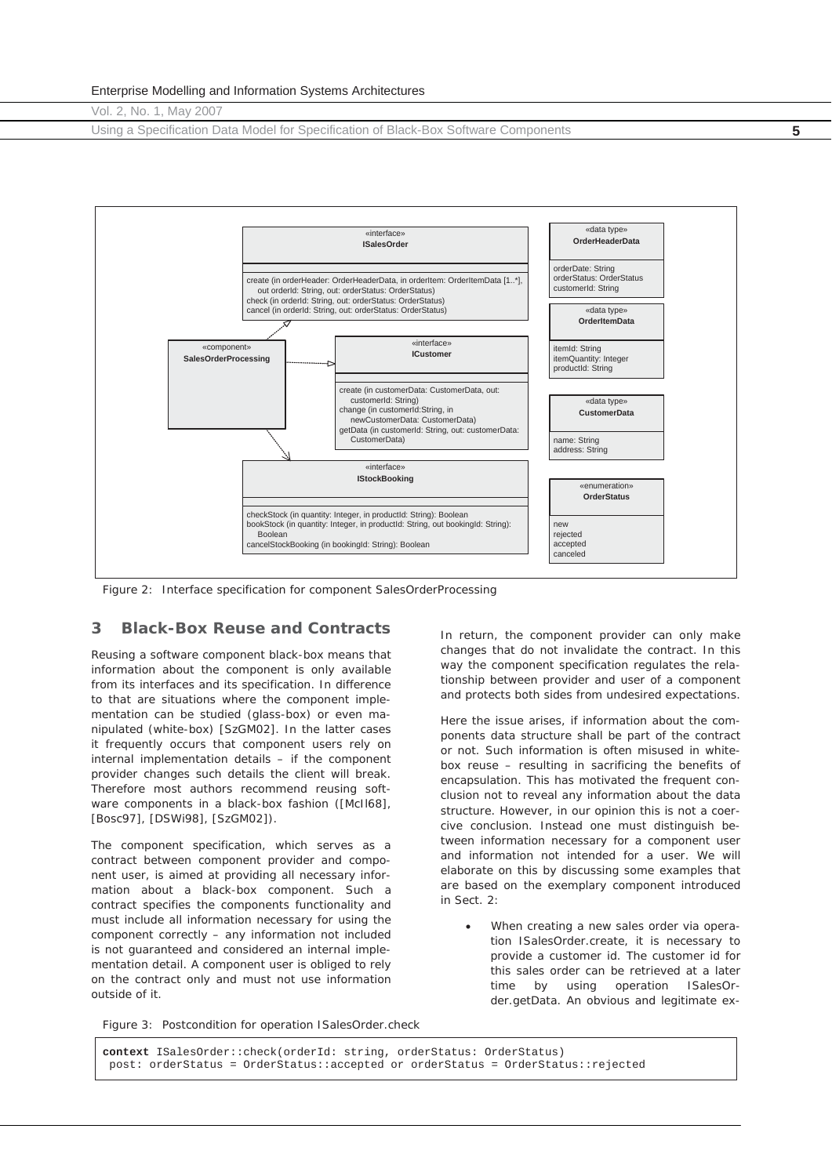Using a Specification Data Model for Specification of Black-Box Software Components **5**



*Figure 2: Interface specification for component SalesOrderProcessing* 

#### **3 Black-Box Reuse and Contracts**

Reusing a software component black-box means that information about the component is only available from its interfaces and its specification. In difference to that are situations where the component implementation can be studied (glass-box) or even manipulated (white-box) [SzGM02]. In the latter cases it frequently occurs that component users rely on internal implementation details – if the component provider changes such details the client will break. Therefore most authors recommend reusing software components in a black-box fashion ([McII68], [Bosc97], [DSWi98], [SzGM02]).

The component specification, which serves as a contract between component provider and component user, is aimed at providing all necessary information about a black-box component. Such a contract specifies the components functionality and must include all information necessary for using the component correctly – any information not included is not guaranteed and considered an internal implementation detail. A component user is obliged to rely on the contract only and must not use information outside of it.

In return, the component provider can only make changes that do not invalidate the contract. In this way the component specification regulates the relationship between provider and user of a component and protects both sides from undesired expectations.

Here the issue arises, if information about the components data structure shall be part of the contract or not. Such information is often misused in whitebox reuse – resulting in sacrificing the benefits of encapsulation. This has motivated the frequent conclusion not to reveal any information about the data structure. However, in our opinion this is not a coercive conclusion. Instead one must distinguish between information necessary for a component user and information not intended for a user. We will elaborate on this by discussing some examples that are based on the exemplary component introduced in Sect. 2:

When creating a new sales order via operation *ISalesOrder.create*, it is necessary to provide a customer id. The customer id for this sales order can be retrieved at a later time by using operation *ISalesOrder.getData*. An obvious and legitimate ex-

*Figure 3: Postcondition for operation ISalesOrder.check*

**context** ISalesOrder::check(orderId: string, orderStatus: OrderStatus) post: orderStatus = OrderStatus::accepted or orderStatus = OrderStatus::rejected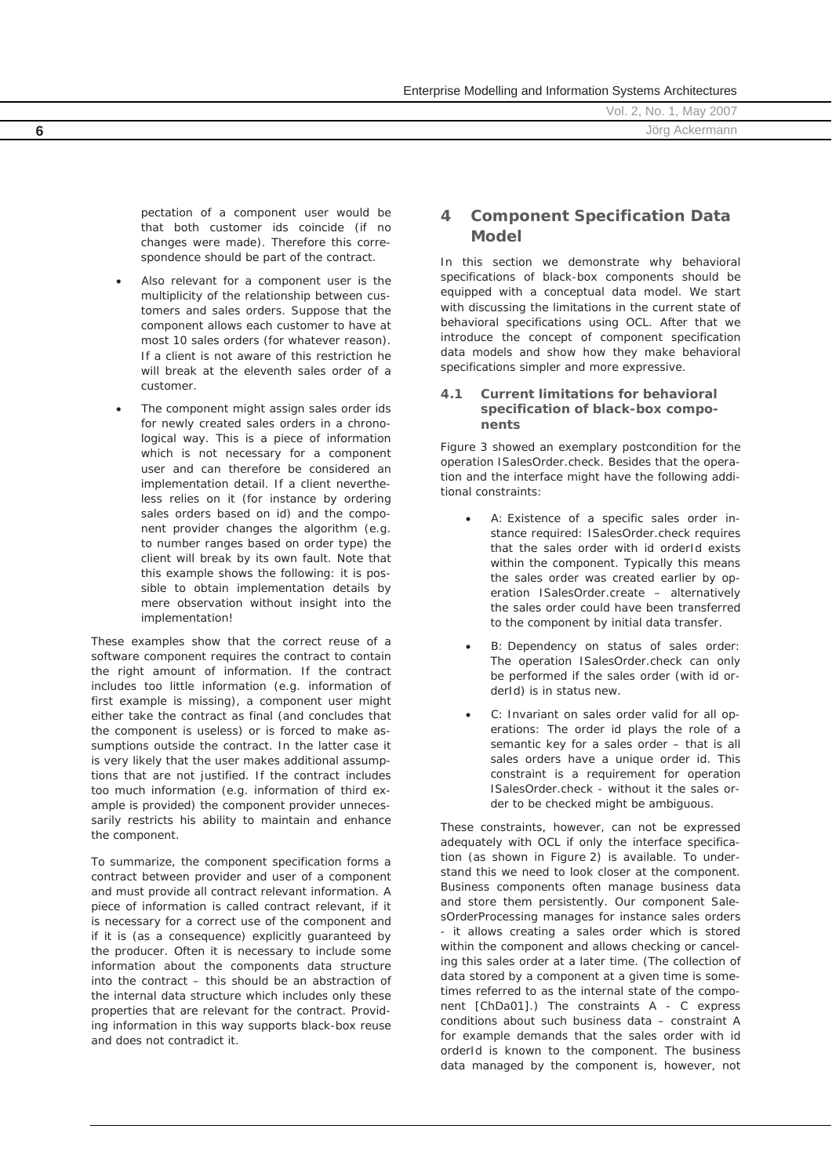|   | Vol. 2, No. 1, May 2007 |
|---|-------------------------|
| 6 | Jörg<br>Ackermann       |

pectation of a component user would be that both customer ids coincide (if no changes were made). Therefore this correspondence should be part of the contract.

- Also relevant for a component user is the multiplicity of the relationship between customers and sales orders. Suppose that the component allows each customer to have at most 10 sales orders (for whatever reason). If a client is not aware of this restriction he will break at the eleventh sales order of a customer.
- The component might assign sales order ids for newly created sales orders in a chronological way. This is a piece of information which is not necessary for a component user and can therefore be considered an implementation detail. If a client nevertheless relies on it (for instance by ordering sales orders based on id) and the component provider changes the algorithm (e.g. to number ranges based on order type) the client will break by its own fault. Note that this example shows the following: it is possible to obtain implementation details by mere observation without insight into the implementation!

These examples show that the correct reuse of a software component requires the contract to contain the right amount of information. If the contract includes too little information (e.g. information of first example is missing), a component user might either take the contract as final (and concludes that the component is useless) or is forced to make assumptions outside the contract. In the latter case it is very likely that the user makes additional assumptions that are not justified. If the contract includes too much information (e.g. information of third example is provided) the component provider unnecessarily restricts his ability to maintain and enhance the component.

To summarize, the component specification forms a contract between provider and user of a component and must provide all contract relevant information. A piece of information is called *contract relevant*, if it is necessary for a correct use of the component and if it is (as a consequence) explicitly guaranteed by the producer. Often it is necessary to include some information about the components data structure into the contract – this should be an abstraction of the internal data structure which includes only these properties that are relevant for the contract. Providing information in this way supports black-box reuse and does not contradict it.

# **4 Component Specification Data Model**

In this section we demonstrate why behavioral specifications of black-box components should be equipped with a conceptual data model. We start with discussing the limitations in the current state of behavioral specifications using OCL. After that we introduce the concept of component specification data models and show how they make behavioral specifications simpler and more expressive.

## **4.1 Current limitations for behavioral specification of black-box components**

Figure 3 showed an exemplary postcondition for the operation *ISalesOrder.check*. Besides that the operation and the interface might have the following additional constraints:

- A: Existence of a specific sales order instance required: *ISalesOrder.check* requires that the sales order with id *orderId* exists within the component. Typically this means the sales order was created earlier by operation *ISalesOrder.create* – alternatively the sales order could have been transferred to the component by initial data transfer.
- B: Dependency on status of sales order: The operation *ISalesOrder.check* can only be performed if the sales order (with id *orderId*) is in status *new*.
- C: Invariant on sales order valid for all operations: The order id plays the role of a semantic key for a sales order – that is all sales orders have a unique order id. This constraint is a requirement for operation *ISalesOrder.check* - without it the sales order to be checked might be ambiguous.

These constraints, however, *can not be expressed* adequately with OCL if only the interface specification (as shown in Figure 2) is available. To understand this we need to look closer at the component. Business components often manage business data and store them persistently. Our component *SalesOrderProcessing* manages for instance sales orders - it allows creating a sales order which is stored within the component and allows checking or canceling this sales order at a later time. (The collection of data stored by a component at a given time is sometimes referred to as the internal state of the component [ChDa01].) The constraints A - C express conditions about such business data – constraint A for example demands that the sales order with id *orderId* is known to the component. The business data managed by the component is, however, not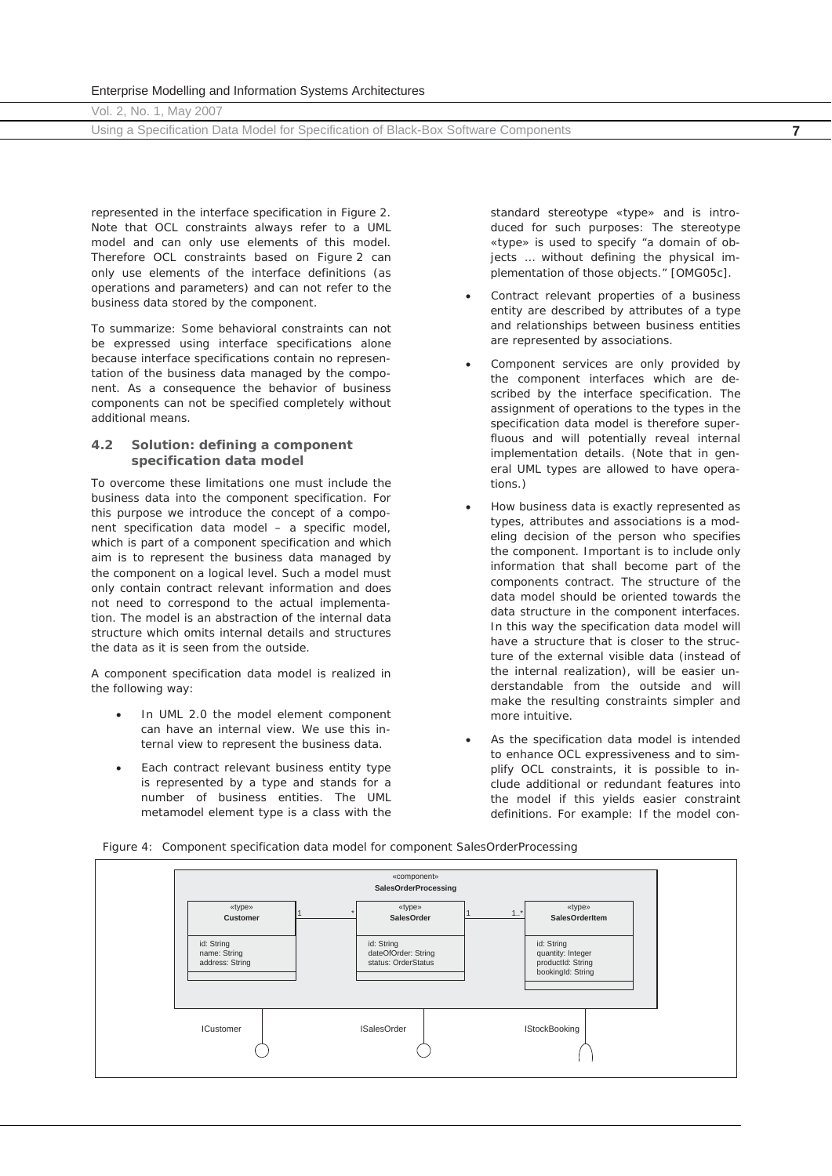Using a Specification Data Model for Specification of Black-Box Software Components **7**

represented in the interface specification in Figure 2. Note that OCL constraints always refer to a UML model and can only use elements of this model. Therefore OCL constraints based on Figure 2 can only use elements of the interface definitions (as operations and parameters) and can not refer to the business data stored by the component.

To summarize: Some behavioral constraints can not be expressed using interface specifications alone because interface specifications contain no representation of the business data managed by the component. As a consequence the behavior of business components can *not* be specified *completely* without additional means.

#### **4.2 Solution: defining a component specification data model**

To overcome these limitations one must include the business data into the component specification. For this purpose we introduce the concept of a *component specification data model* – a specific model, which is part of a component specification and which aim is to represent the business data managed by the component on a logical level. Such a model must only contain contract relevant information and does not need to correspond to the actual implementation. The model is an abstraction of the internal data structure which omits internal details and structures the data as it is seen from the outside.

A component specification data model is realized in the following way:

- x In UML 2.0 the model element *component* can have an internal view. We use this internal view to represent the business data.
- Each contract relevant business entity type is represented by a type and stands for a number of business entities. The UML metamodel element *type* is a class with the

standard stereotype «type» and is introduced for such purposes: The stereotype «type» is used to specify "a domain of objects … without defining the physical implementation of those objects." [OMG05c].

- Contract relevant properties of a business entity are described by attributes of a type and relationships between business entities are represented by associations.
- Component services are only provided by the component interfaces which are described by the interface specification. The assignment of operations to the types in the specification data model is therefore superfluous and will potentially reveal internal implementation details. (Note that in general UML types are allowed to have operations.)
- How business data is exactly represented as types, attributes and associations is a modeling decision of the person who specifies the component. Important is to include only information that shall become part of the components contract. The structure of the data model should be oriented towards the data structure in the component interfaces. In this way the specification data model will have a structure that is closer to the structure of the external visible data (instead of the internal realization), will be easier understandable from the outside and will make the resulting constraints simpler and more intuitive.
- As the specification data model is intended to enhance OCL expressiveness and to simplify OCL constraints, it is possible to include additional or redundant features into the model if this yields easier constraint definitions. For example: If the model con-

*Figure 4: Component specification data model for component SalesOrderProcessing* 

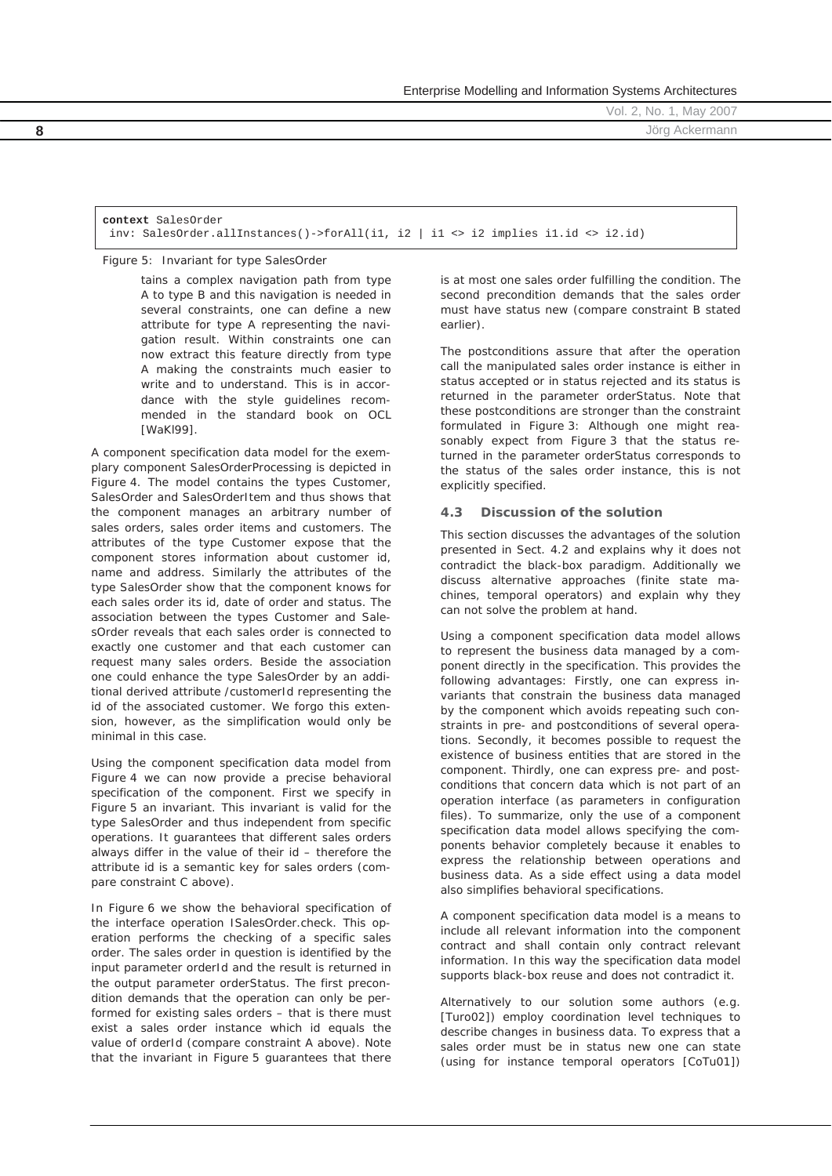Enterprise Modelling and Information Systems Architectures

Vol. 2, No. 1, May 2007 **8** Jörg Ackermann

**context** SalesOrder inv: SalesOrder.allInstances()->forAll(i1, i2 | i1 <> i2 implies i1.id <> i2.id)

*Figure 5: Invariant for type SalesOrder*

tains a complex navigation path from type A to type B and this navigation is needed in several constraints, one can define a new attribute for type A representing the navigation result. Within constraints one can now extract this feature directly from type A making the constraints much easier to write and to understand. This is in accordance with the style guidelines recommended in the standard book on OCL [WaKl99].

A component specification data model for the exemplary component *SalesOrderProcessing* is depicted in Figure 4. The model contains the types *Customer*, *SalesOrder* and *SalesOrderItem* and thus shows that the component manages an arbitrary number of sales orders, sales order items and customers. The attributes of the type *Customer* expose that the component stores information about customer id, name and address. Similarly the attributes of the type *SalesOrder* show that the component knows for each sales order its id, date of order and status. The association between the types *Customer* and *SalesOrder* reveals that each sales order is connected to exactly one customer and that each customer can request many sales orders. Beside the association one could enhance the type *SalesOrder* by an additional derived attribute */customerId* representing the id of the associated customer. We forgo this extension, however, as the simplification would only be minimal in this case.

Using the component specification data model from Figure 4 we can now provide a precise behavioral specification of the component. First we specify in Figure 5 an invariant. This invariant is valid for the type *SalesOrder* and thus independent from specific operations. It guarantees that different sales orders always differ in the value of their id – therefore the attribute *id* is a semantic key for sales orders (compare constraint C above).

In Figure 6 we show the behavioral specification of the interface operation *ISalesOrder.check*. This operation performs the checking of a specific sales order. The sales order in question is identified by the input parameter *orderId* and the result is returned in the output parameter *orderStatus*. The first precondition demands that the operation can only be performed for existing sales orders – that is there must exist a sales order instance which *id* equals the value of *orderId* (compare constraint A above). Note that the invariant in Figure 5 guarantees that there

is at most one sales order fulfilling the condition. The second precondition demands that the sales order must have status *new* (compare constraint B stated earlier).

The postconditions assure that after the operation call the manipulated sales order instance is either in status *accepted* or in status *rejected* and its status is returned in the parameter *orderStatus*. Note that these postconditions are stronger than the constraint formulated in Figure 3: Although one might reasonably expect from Figure 3 that the status returned in the parameter *orderStatus* corresponds to the status of the sales order instance, this is not explicitly specified.

### **4.3 Discussion of the solution**

This section discusses the advantages of the solution presented in Sect. 4.2 and explains why it does not contradict the black-box paradigm. Additionally we discuss alternative approaches (finite state machines, temporal operators) and explain why they can not solve the problem at hand.

Using a component specification data model allows to represent the business data managed by a component directly in the specification. This provides the following advantages: Firstly, one can express invariants that constrain the business data managed by the component which avoids repeating such constraints in pre- and postconditions of several operations. Secondly, it becomes possible to request the existence of business entities that are stored in the component. Thirdly, one can express pre- and postconditions that concern data which is not part of an operation interface (as parameters in configuration files). To summarize, only the use of a component specification data model allows specifying the components behavior *completely* because it enables to express the relationship between operations and business data. As a side effect using a data model also simplifies behavioral specifications.

A component specification data model is a means to include all relevant information into the component contract and shall contain only contract relevant information. In this way the specification data model supports black-box reuse and does not contradict it.

Alternatively to our solution some authors (e.g. [Turo02]) employ coordination level techniques to describe changes in business data. To express that a sales order must be in status *new* one can state (using for instance temporal operators [CoTu01])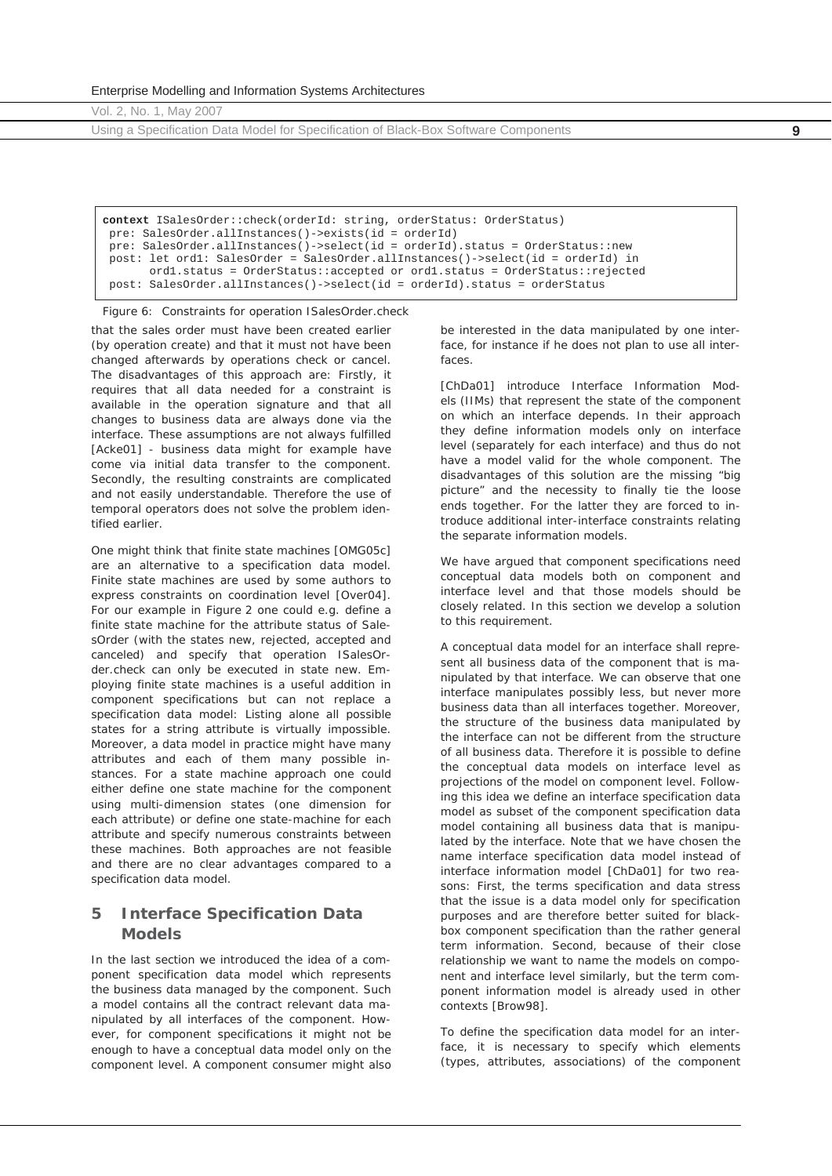Enterprise Modelling and Information Systems Architectures

Vol. 2, No. 1, May 2007

Using a Specification Data Model for Specification of Black-Box Software Components **9**

**context** ISalesOrder::check(orderId: string, orderStatus: OrderStatus) pre: SalesOrder.allInstances()->exists(id = orderId) pre: SalesOrder.allInstances()->select(id = orderId).status = OrderStatus::new post: let ord1: SalesOrder = SalesOrder.allInstances()->select(id = orderId) in ord1.status = OrderStatus::accepted or ord1.status = OrderStatus::rejected post: SalesOrder.allInstances()->select(id = orderId).status = orderStatus

*Figure 6: Constraints for operation ISalesOrder.check* 

that the sales order must have been created earlier (by operation *create*) and that it must not have been changed afterwards by operations *check* or *cancel*. The disadvantages of this approach are: Firstly, it requires that all data needed for a constraint is available in the operation signature and that all changes to business data are always done via the interface. These assumptions are not always fulfilled [Acke01] - business data might for example have come via initial data transfer to the component. Secondly, the resulting constraints are complicated and not easily understandable. Therefore the use of temporal operators does not solve the problem identified earlier.

One might think that finite state machines [OMG05c] are an alternative to a specification data model. Finite state machines are used by some authors to express constraints on coordination level [Over04]. For our example in Figure 2 one could e.g. define a finite state machine for the attribute *status* of *SalesOrder* (with the states *new, rejected*, *accepted* and *canceled*) and specify that operation *ISalesOrder.check* can only be executed in state *new*. Employing finite state machines is a useful *addition* in component specifications but can not replace a specification data model: Listing alone all possible states for a string attribute is virtually impossible. Moreover, a data model in practice might have many attributes and each of them many possible instances. For a state machine approach one could either define one state machine for the component using multi-dimension states (one dimension for each attribute) or define one state-machine for each attribute and specify numerous constraints between these machines. Both approaches are not feasible and there are no clear advantages compared to a specification data model.

# **5 Interface Specification Data Models**

In the last section we introduced the idea of a component specification data model which represents the business data managed by the component. Such a model contains all the contract relevant data manipulated by all interfaces of the component. However, for component specifications it might not be enough to have a conceptual data model only on the component level. A component consumer might also

be interested in the data manipulated by one interface, for instance if he does not plan to use all interfaces.

[ChDa01] introduce Interface Information Models (IIMs) that represent the state of the component on which an interface depends. In their approach they define information models only on interface level (separately for each interface) and thus do not have a model valid for the whole component. The disadvantages of this solution are the missing "big picture" and the necessity to finally tie the loose ends together. For the latter they are forced to introduce additional inter-interface constraints relating the separate information models.

We have argued that component specifications need conceptual data models both on component and interface level and that those models should be closely related. In this section we develop a solution to this requirement.

A conceptual data model for an interface shall represent all business data of the component that is manipulated by that interface. We can observe that one interface manipulates possibly less, but never more business data than all interfaces together. Moreover, the structure of the business data manipulated by the interface can not be different from the structure of all business data. Therefore it is possible to define the conceptual data models on interface level as projections of the model on component level. Following this idea we define an *interface specification data model* as subset of the component specification data model containing all business data that is manipulated by the interface. Note that we have chosen the name *interface specification data model* instead of *interface information model* [ChDa01] for two reasons: First, the terms *specification* and *data* stress that the issue is a data model only for specification purposes and are therefore better suited for blackbox component specification than the rather general term *information*. Second, because of their close relationship we want to name the models on component and interface level similarly, but the term *component information model* is already used in other contexts [Brow98].

To define the specification data model for an interface, it is necessary to specify which elements (types, attributes, associations) of the component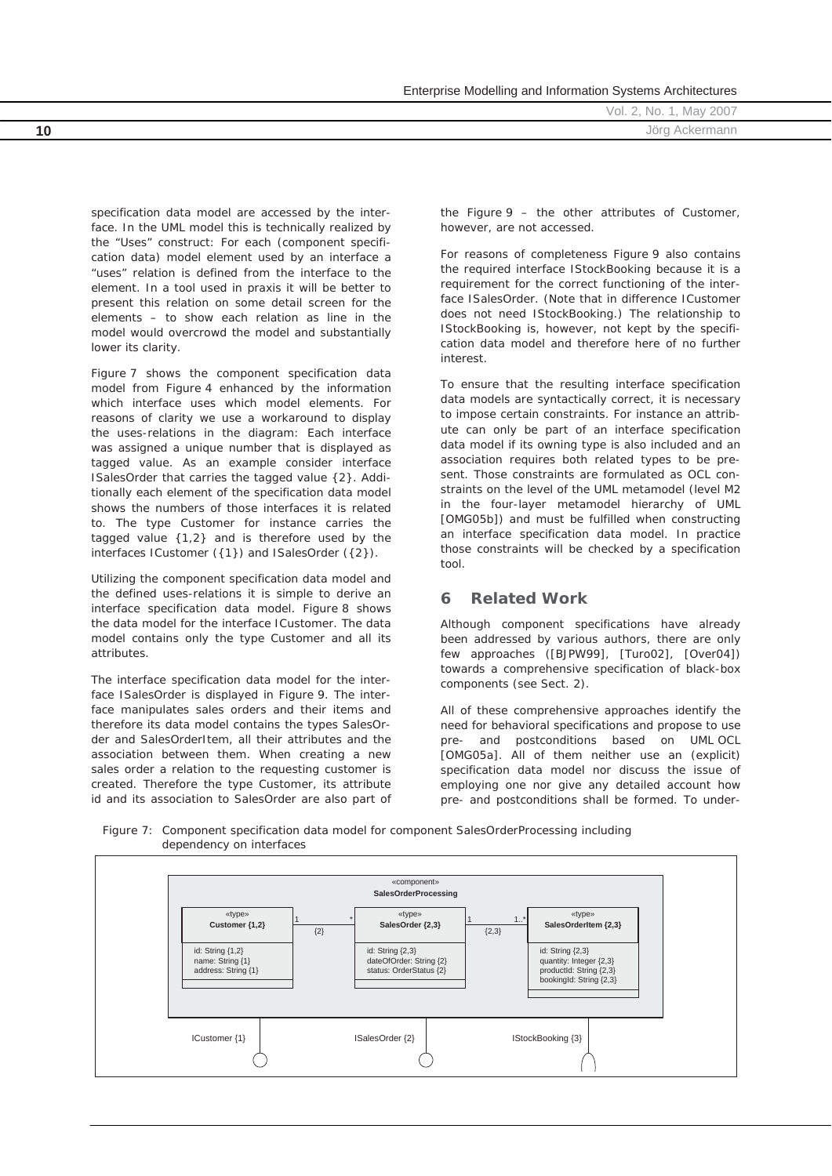|    | Vol. 2, No. 1, May 2007 |
|----|-------------------------|
| 10 | Jörg Ackermann          |
|    |                         |

specification data model are accessed by the interface. In the UML model this is technically realized by the "Uses" construct: For each (component specification data) model element used by an interface a "uses" relation is defined from the interface to the element. In a tool used in praxis it will be better to present this relation on some detail screen for the elements – to show each relation as line in the model would overcrowd the model and substantially lower its clarity.

Figure 7 shows the component specification data model from Figure 4 enhanced by the information which interface uses which model elements. For reasons of clarity we use a workaround to display the uses-relations in the diagram: Each interface was assigned a unique number that is displayed as tagged value. As an example consider interface *ISalesOrder* that carries the tagged value {2}. Additionally each element of the specification data model shows the numbers of those interfaces it is related to. The type *Customer* for instance carries the tagged value {1,2} and is therefore used by the interfaces *ICustomer* ({1}) and *ISalesOrder* ({2}).

Utilizing the component specification data model and the defined uses-relations it is simple to derive an interface specification data model. Figure 8 shows the data model for the interface *ICustomer*. The data model contains only the type *Customer* and all its attributes.

The interface specification data model for the interface *ISalesOrder* is displayed in Figure 9. The interface manipulates sales orders and their items and therefore its data model contains the types *SalesOrder* and *SalesOrderItem*, all their attributes and the association between them. When creating a new sales order a relation to the requesting customer is created. Therefore the type *Customer*, its attribute *id* and its association to *SalesOrder* are also part of the Figure 9 – the other attributes of *Customer*, however, are not accessed.

Enterprise Modelling and Information Systems Architectures

For reasons of completeness Figure 9 also contains the required interface *IStockBooking* because it is a requirement for the correct functioning of the interface *ISalesOrder*. (Note that in difference *ICustomer* does not need *IStockBooking*.) The relationship to *IStockBooking* is, however, not kept by the specification data model and therefore here of no further interest.

To ensure that the resulting interface specification data models are syntactically correct, it is necessary to impose certain constraints. For instance an attribute can only be part of an interface specification data model if its owning type is also included and an association requires both related types to be present. Those constraints are formulated as OCL constraints on the level of the UML metamodel (level M2 in the four-layer metamodel hierarchy of UML [OMG05b]) and must be fulfilled when constructing an interface specification data model. In practice those constraints will be checked by a specification tool.

## **6 Related Work**

Although component specifications have already been addressed by various authors, there are only few approaches ([BJPW99], [Turo02], [Over04]) towards a comprehensive specification of black-box components (see Sect. 2).

All of these comprehensive approaches identify the need for behavioral specifications and propose to use pre- and postconditions based on UML OCL [OMG05a]. All of them neither use an (explicit) specification data model nor discuss the issue of employing one nor give any detailed account how pre- and postconditions shall be formed. To under-



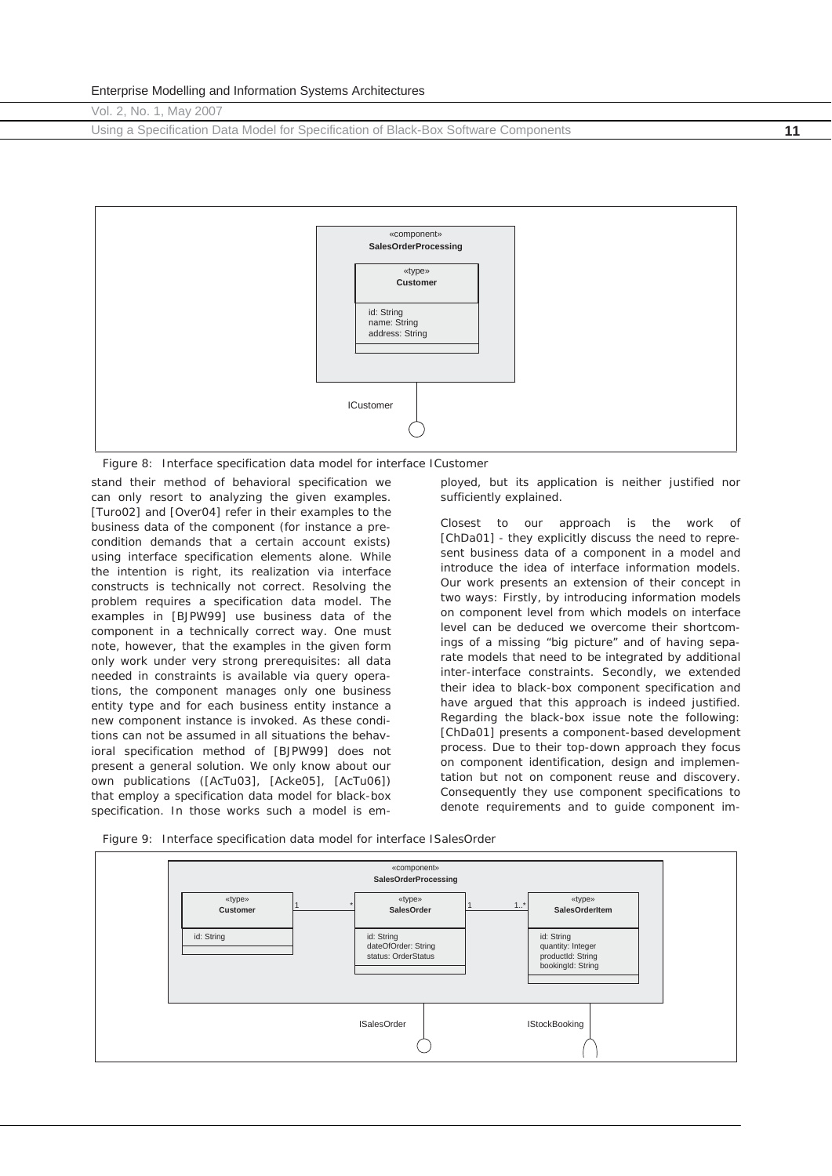Using a Specification Data Model for Specification of Black-Box Software Components **11**



*Figure 8: Interface specification data model for interface ICustomer* 

stand their method of behavioral specification we can only resort to analyzing the given examples. [Turo02] and [Over04] refer in their examples to the business data of the component (for instance a precondition demands that a certain account exists) using interface specification elements alone. While the intention is right, its realization via interface constructs is technically not correct. Resolving the problem requires a specification data model. The examples in [BJPW99] use business data of the component in a technically correct way. One must note, however, that the examples in the given form only work under very strong prerequisites: all data needed in constraints is available via query operations, the component manages only one business entity type and for each business entity instance a new component instance is invoked. As these conditions can not be assumed in all situations the behavioral specification method of [BJPW99] does not present a general solution. We only know about our own publications ([AcTu03], [Acke05], [AcTu06]) that employ a specification data model for black-box specification. In those works such a model is em-

ployed, but its application is neither justified nor sufficiently explained.

Closest to our approach is the work of [ChDa01] - they explicitly discuss the need to represent business data of a component in a model and introduce the idea of interface information models. Our work presents an extension of their concept in two ways: Firstly, by introducing information models on component level from which models on interface level can be deduced we overcome their shortcomings of a missing "big picture" and of having separate models that need to be integrated by additional inter-interface constraints. Secondly, we extended their idea to *black-box* component specification and have argued that this approach is indeed justified. Regarding the black-box issue note the following: [ChDa01] presents a component-based development process. Due to their top-down approach they focus on component identification, design and implementation but not on component reuse and discovery. Consequently they use component specifications to denote requirements and to guide component im-



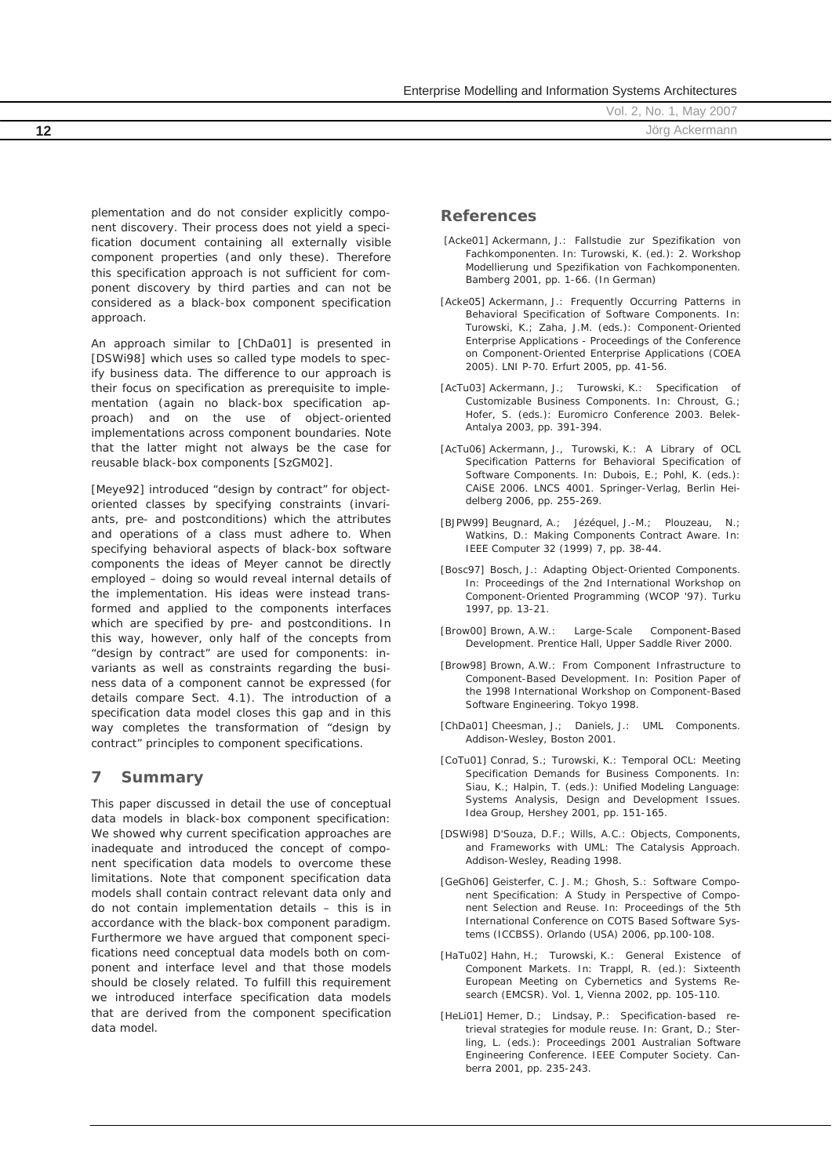Vol. 2, No. 1, May 2007 **12** Jörg Ackermann

plementation and do not consider explicitly component discovery. Their process does not yield a specification document containing all externally visible component properties (and only these). Therefore this specification approach is not sufficient for component discovery by third parties and can not be considered as a black-box component specification approach.

An approach similar to [ChDa01] is presented in [DSWi98] which uses so called type models to specify business data. The difference to our approach is their focus on specification as prerequisite to implementation (again no black-box specification approach) and on the use of object-oriented implementations across component boundaries. Note that the latter might not always be the case for reusable black-box components [SzGM02].

[Meye92] introduced "design by contract" for objectoriented classes by specifying constraints (invariants, pre- and postconditions) which the attributes and operations of a class must adhere to. When specifying behavioral aspects of black-box software components the ideas of Meyer cannot be directly employed – doing so would reveal internal details of the implementation. His ideas were instead transformed and applied to the components interfaces which are specified by pre- and postconditions. In this way, however, only half of the concepts from "design by contract" are used for components: invariants as well as constraints regarding the business data of a component cannot be expressed (for details compare Sect. 4.1). The introduction of a specification data model closes this gap and in this way completes the transformation of "design by contract" principles to component specifications.

## **7 Summary**

This paper discussed in detail the use of conceptual data models in black-box component specification: We showed why current specification approaches are inadequate and introduced the concept of component specification data models to overcome these limitations. Note that component specification data models shall contain contract relevant data only and do not contain implementation details – this is in accordance with the black-box component paradigm. Furthermore we have argued that component specifications need conceptual data models both on component and interface level and that those models should be closely related. To fulfill this requirement we introduced interface specification data models that are derived from the component specification data model.

#### **References**

- [Acke01] Ackermann, J.: Fallstudie zur Spezifikation von Fachkomponenten. In: Turowski, K. (ed.): 2. Workshop Modellierung und Spezifikation von Fachkomponenten. Bamberg 2001, pp. 1-66. (In German)
- [Acke05] Ackermann, J.: Frequently Occurring Patterns in Behavioral Specification of Software Components. In: Turowski, K.; Zaha, J.M. (eds.): Component-Oriented Enterprise Applications - Proceedings of the Conference on Component-Oriented Enterprise Applications (COEA 2005). LNI P-70. Erfurt 2005, pp. 41-56.
- [AcTu03] Ackermann, J.; Turowski, K.: Specification of Customizable Business Components. In: Chroust, G.; Hofer, S. (eds.): Euromicro Conference 2003. Belek-Antalya 2003, pp. 391-394.
- [AcTu06] Ackermann, J., Turowski, K.: A Library of OCL Specification Patterns for Behavioral Specification of Software Components. In: Dubois, E.; Pohl, K. (eds.): CAiSE 2006. LNCS 4001. Springer-Verlag, Berlin Heidelberg 2006, pp. 255-269.
- [BJPW99] Beugnard, A.; Jézéquel, J.-M.; Plouzeau, N.; Watkins, D.: Making Components Contract Aware. In: IEEE Computer 32 (1999) 7, pp. 38-44.
- [Bosc97] Bosch, J.: Adapting Object-Oriented Components. In: Proceedings of the 2nd International Workshop on Component-Oriented Programming (WCOP '97). Turku 1997, pp. 13-21.
- [Brow00] Brown, A.W.: Large-Scale Component-Based Development. Prentice Hall, Upper Saddle River 2000.
- [Brow98] Brown, A.W.: From Component Infrastructure to Component-Based Development. In: Position Paper of the 1998 International Workshop on Component-Based Software Engineering. Tokyo 1998.
- [ChDa01] Cheesman, J.; Daniels, J.: UML Components. Addison-Wesley, Boston 2001.
- [CoTu01] Conrad, S.; Turowski, K.: Temporal OCL: Meeting Specification Demands for Business Components. In: Siau, K.; Halpin, T. (eds.): Unified Modeling Language: Systems Analysis, Design and Development Issues. Idea Group, Hershey 2001, pp. 151-165.
- [DSWi98] D'Souza, D.F.; Wills, A.C.: Objects, Components, and Frameworks with UML: The Catalysis Approach. Addison-Wesley, Reading 1998.
- [GeGh06] Geisterfer, C. J. M.; Ghosh, S.: Software Component Specification: A Study in Perspective of Component Selection and Reuse. In: Proceedings of the 5th International Conference on COTS Based Software Systems (ICCBSS). Orlando (USA) 2006, pp.100-108.
- [HaTu02] Hahn, H.; Turowski, K.: General Existence of Component Markets. In: Trappl, R. (ed.): Sixteenth European Meeting on Cybernetics and Systems Research (EMCSR). Vol. 1, Vienna 2002, pp. 105-110.
- [HeLi01] Hemer, D.; Lindsay, P.: Specification-based retrieval strategies for module reuse. In: Grant, D.; Sterling, L. (eds.): Proceedings 2001 Australian Software Engineering Conference. IEEE Computer Society. Canberra 2001, pp. 235-243.